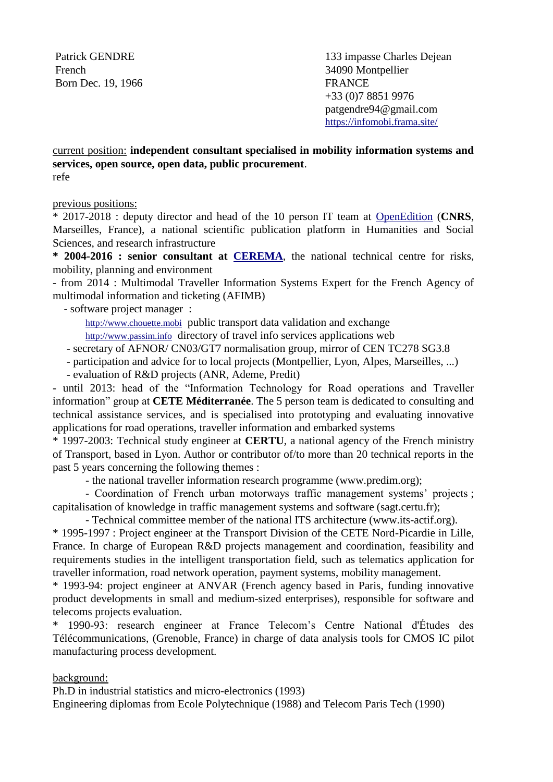Patrick GENDRE French Born Dec. 19, 1966

133 impasse Charles Dejean 34090 Montpellier FRANCE +33 (0)7 8851 9976 patgendre94@gmail.com <https://infomobi.frama.site/>

current position: **independent consultant specialised in mobility information systems and services, open source, open data, public procurement**. refe

previous positions:

\* 2017-2018 : deputy director and head of the 10 person IT team at [OpenEdition](https://www.openedition.org/10918?lang=en) (**CNRS**, Marseilles, France), a national scientific publication platform in Humanities and Social Sciences, and research infrastructure

**\* 2004-2016 : senior consultant at [CEREMA](http://www.cerema.fr/)**, the national technical centre for risks, mobility, planning and environment

- from 2014 : Multimodal Traveller Information Systems Expert for the French Agency of multimodal information and ticketing (AFIMB)

- software project manager :

[http://www.chouette.mobi](http://www.chouette.mobi/) public transport data validation and exchange [http://www.passim.info](http://www.passim.info/) directory of travel info services applications web

- secretary of AFNOR/ CN03/GT7 normalisation group, mirror of CEN TC278 SG3.8
- participation and advice for to local projects (Montpellier, Lyon, Alpes, Marseilles, ...)
- evaluation of R&D projects (ANR, Ademe, Predit)

- until 2013: head of the "Information Technology for Road operations and Traveller information" group at **CETE Méditerranée**. The 5 person team is dedicated to consulting and technical assistance services, and is specialised into prototyping and evaluating innovative applications for road operations, traveller information and embarked systems

\* 1997-2003: Technical study engineer at **CERTU**, a national agency of the French ministry of Transport, based in Lyon. Author or contributor of/to more than 20 technical reports in the past 5 years concerning the following themes :

- the national traveller information research programme (www.predim.org);

- Coordination of French urban motorways traffic management systems' projects ; capitalisation of knowledge in traffic management systems and software (sagt.certu.fr);

- Technical committee member of the national ITS architecture (www.its-actif.org).

\* 1995-1997 : Project engineer at the Transport Division of the CETE Nord-Picardie in Lille, France. In charge of European R&D projects management and coordination, feasibility and requirements studies in the intelligent transportation field, such as telematics application for traveller information, road network operation, payment systems, mobility management.

\* 1993-94: project engineer at ANVAR (French agency based in Paris, funding innovative product developments in small and medium-sized enterprises), responsible for software and telecoms projects evaluation.

\* 1990-93: research engineer at France Telecom's Centre National d'Études des Télécommunications, (Grenoble, France) in charge of data analysis tools for CMOS IC pilot manufacturing process development.

## background:

Ph.D in industrial statistics and micro-electronics (1993)

Engineering diplomas from Ecole Polytechnique (1988) and Telecom Paris Tech (1990)